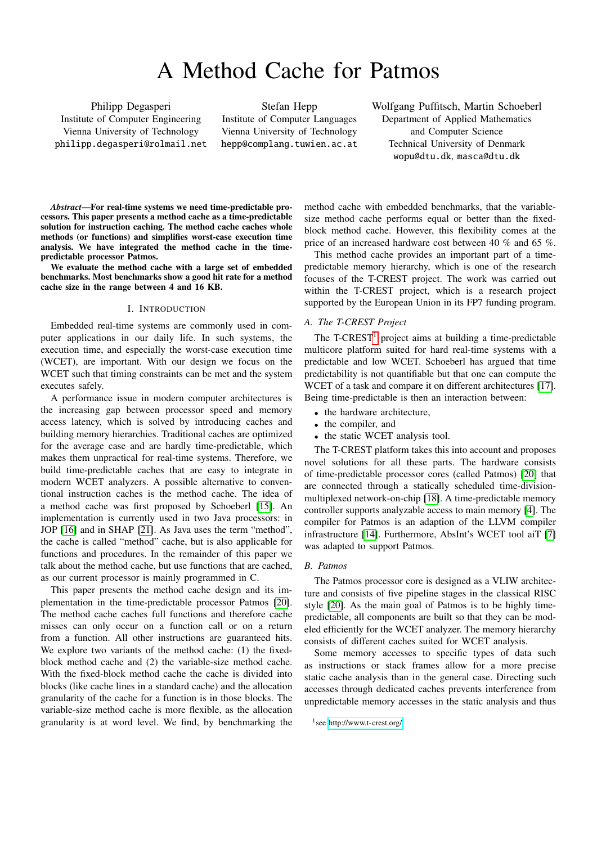# A Method Cache for Patmos

Philipp Degasperi Institute of Computer Engineering Vienna University of Technology philipp.degasperi@rolmail.net Stefan Hepp

Institute of Computer Languages Vienna University of Technology hepp@complang.tuwien.ac.at Wolfgang Puffitsch, Martin Schoeberl Department of Applied Mathematics and Computer Science Technical University of Denmark wopu@dtu.dk, masca@dtu.dk

*Abstract*—For real-time systems we need time-predictable processors. This paper presents a method cache as a time-predictable solution for instruction caching. The method cache caches whole methods (or functions) and simplifies worst-case execution time analysis. We have integrated the method cache in the timepredictable processor Patmos.

We evaluate the method cache with a large set of embedded benchmarks. Most benchmarks show a good hit rate for a method cache size in the range between 4 and 16 KB.

### I. INTRODUCTION

Embedded real-time systems are commonly used in computer applications in our daily life. In such systems, the execution time, and especially the worst-case execution time (WCET), are important. With our design we focus on the WCET such that timing constraints can be met and the system executes safely.

A performance issue in modern computer architectures is the increasing gap between processor speed and memory access latency, which is solved by introducing caches and building memory hierarchies. Traditional caches are optimized for the average case and are hardly time-predictable, which makes them unpractical for real-time systems. Therefore, we build time-predictable caches that are easy to integrate in modern WCET analyzers. A possible alternative to conventional instruction caches is the method cache. The idea of a method cache was first proposed by Schoeberl [\[15\]](#page-8-0). An implementation is currently used in two Java processors: in JOP [\[16\]](#page-8-1) and in SHAP [\[21\]](#page-8-2). As Java uses the term "method", the cache is called "method" cache, but is also applicable for functions and procedures. In the remainder of this paper we talk about the method cache, but use functions that are cached, as our current processor is mainly programmed in C.

This paper presents the method cache design and its implementation in the time-predictable processor Patmos [\[20\]](#page-8-3). The method cache caches full functions and therefore cache misses can only occur on a function call or on a return from a function. All other instructions are guaranteed hits. We explore two variants of the method cache: (1) the fixedblock method cache and (2) the variable-size method cache. With the fixed-block method cache the cache is divided into blocks (like cache lines in a standard cache) and the allocation granularity of the cache for a function is in those blocks. The variable-size method cache is more flexible, as the allocation granularity is at word level. We find, by benchmarking the

method cache with embedded benchmarks, that the variablesize method cache performs equal or better than the fixedblock method cache. However, this flexibility comes at the price of an increased hardware cost between 40 % and 65 %.

This method cache provides an important part of a timepredictable memory hierarchy, which is one of the research focuses of the T-CREST project. The work was carried out within the T-CREST project, which is a research project supported by the European Union in its FP7 funding program.

# *A. The T-CREST Project*

The T-CREST<sup>[1](#page-0-0)</sup> project aims at building a time-predictable multicore platform suited for hard real-time systems with a predictable and low WCET. Schoeberl has argued that time predictability is not quantifiable but that one can compute the WCET of a task and compare it on different architectures [\[17\]](#page-8-4). Being time-predictable is then an interaction between:

- the hardware architecture,
- the compiler, and
- the static WCET analysis tool.

The T-CREST platform takes this into account and proposes novel solutions for all these parts. The hardware consists of time-predictable processor cores (called Patmos) [\[20\]](#page-8-3) that are connected through a statically scheduled time-divisionmultiplexed network-on-chip [\[18\]](#page-8-5). A time-predictable memory controller supports analyzable access to main memory [\[4\]](#page-7-0). The compiler for Patmos is an adaption of the LLVM compiler infrastructure [\[14\]](#page-8-6). Furthermore, AbsInt's WCET tool aiT [\[7\]](#page-7-1) was adapted to support Patmos.

# *B. Patmos*

The Patmos processor core is designed as a VLIW architecture and consists of five pipeline stages in the classical RISC style [\[20\]](#page-8-3). As the main goal of Patmos is to be highly timepredictable, all components are built so that they can be modeled efficiently for the WCET analyzer. The memory hierarchy consists of different caches suited for WCET analysis.

Some memory accesses to specific types of data such as instructions or stack frames allow for a more precise static cache analysis than in the general case. Directing such accesses through dedicated caches prevents interference from unpredictable memory accesses in the static analysis and thus

<span id="page-0-0"></span><sup>1</sup> see<http://www.t-crest.org/>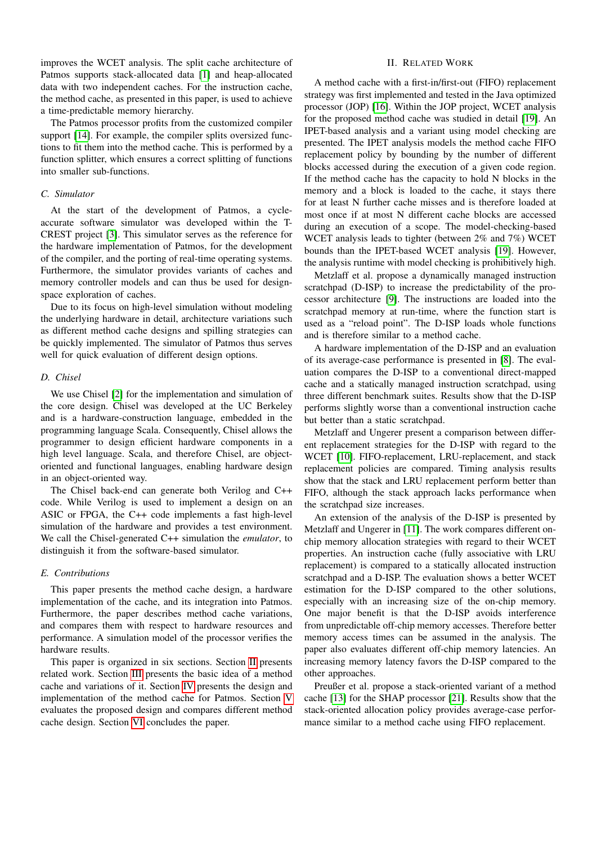improves the WCET analysis. The split cache architecture of Patmos supports stack-allocated data [\[1\]](#page-7-2) and heap-allocated data with two independent caches. For the instruction cache, the method cache, as presented in this paper, is used to achieve a time-predictable memory hierarchy.

The Patmos processor profits from the customized compiler support [\[14\]](#page-8-6). For example, the compiler splits oversized functions to fit them into the method cache. This is performed by a function splitter, which ensures a correct splitting of functions into smaller sub-functions.

# *C. Simulator*

At the start of the development of Patmos, a cycleaccurate software simulator was developed within the T-CREST project [\[3\]](#page-7-3). This simulator serves as the reference for the hardware implementation of Patmos, for the development of the compiler, and the porting of real-time operating systems. Furthermore, the simulator provides variants of caches and memory controller models and can thus be used for designspace exploration of caches.

Due to its focus on high-level simulation without modeling the underlying hardware in detail, architecture variations such as different method cache designs and spilling strategies can be quickly implemented. The simulator of Patmos thus serves well for quick evaluation of different design options.

# *D. Chisel*

We use Chisel [\[2\]](#page-7-4) for the implementation and simulation of the core design. Chisel was developed at the UC Berkeley and is a hardware-construction language, embedded in the programming language Scala. Consequently, Chisel allows the programmer to design efficient hardware components in a high level language. Scala, and therefore Chisel, are objectoriented and functional languages, enabling hardware design in an object-oriented way.

The Chisel back-end can generate both Verilog and C++ code. While Verilog is used to implement a design on an ASIC or FPGA, the C++ code implements a fast high-level simulation of the hardware and provides a test environment. We call the Chisel-generated C++ simulation the *emulator*, to distinguish it from the software-based simulator.

### *E. Contributions*

This paper presents the method cache design, a hardware implementation of the cache, and its integration into Patmos. Furthermore, the paper describes method cache variations, and compares them with respect to hardware resources and performance. A simulation model of the processor verifies the hardware results.

This paper is organized in six sections. Section [II](#page-1-0) presents related work. Section [III](#page-2-0) presents the basic idea of a method cache and variations of it. Section [IV](#page-2-1) presents the design and implementation of the method cache for Patmos. Section [V](#page-5-0) evaluates the proposed design and compares different method cache design. Section [VI](#page-7-5) concludes the paper.

# II. RELATED WORK

<span id="page-1-0"></span>A method cache with a first-in/first-out (FIFO) replacement strategy was first implemented and tested in the Java optimized processor (JOP) [\[16\]](#page-8-1). Within the JOP project, WCET analysis for the proposed method cache was studied in detail [\[19\]](#page-8-7). An IPET-based analysis and a variant using model checking are presented. The IPET analysis models the method cache FIFO replacement policy by bounding by the number of different blocks accessed during the execution of a given code region. If the method cache has the capacity to hold N blocks in the memory and a block is loaded to the cache, it stays there for at least N further cache misses and is therefore loaded at most once if at most N different cache blocks are accessed during an execution of a scope. The model-checking-based WCET analysis leads to tighter (between 2% and 7%) WCET bounds than the IPET-based WCET analysis [\[19\]](#page-8-7). However, the analysis runtime with model checking is prohibitively high.

Metzlaff et al. propose a dynamically managed instruction scratchpad (D-ISP) to increase the predictability of the processor architecture [\[9\]](#page-7-6). The instructions are loaded into the scratchpad memory at run-time, where the function start is used as a "reload point". The D-ISP loads whole functions and is therefore similar to a method cache.

A hardware implementation of the D-ISP and an evaluation of its average-case performance is presented in [\[8\]](#page-7-7). The evaluation compares the D-ISP to a conventional direct-mapped cache and a statically managed instruction scratchpad, using three different benchmark suites. Results show that the D-ISP performs slightly worse than a conventional instruction cache but better than a static scratchpad.

Metzlaff and Ungerer present a comparison between different replacement strategies for the D-ISP with regard to the WCET [\[10\]](#page-7-8). FIFO-replacement, LRU-replacement, and stack replacement policies are compared. Timing analysis results show that the stack and LRU replacement perform better than FIFO, although the stack approach lacks performance when the scratchpad size increases.

An extension of the analysis of the D-ISP is presented by Metzlaff and Ungerer in [\[11\]](#page-8-8). The work compares different onchip memory allocation strategies with regard to their WCET properties. An instruction cache (fully associative with LRU replacement) is compared to a statically allocated instruction scratchpad and a D-ISP. The evaluation shows a better WCET estimation for the D-ISP compared to the other solutions, especially with an increasing size of the on-chip memory. One major benefit is that the D-ISP avoids interference from unpredictable off-chip memory accesses. Therefore better memory access times can be assumed in the analysis. The paper also evaluates different off-chip memory latencies. An increasing memory latency favors the D-ISP compared to the other approaches.

Preußer et al. propose a stack-oriented variant of a method cache [\[13\]](#page-8-9) for the SHAP processor [\[21\]](#page-8-2). Results show that the stack-oriented allocation policy provides average-case performance similar to a method cache using FIFO replacement.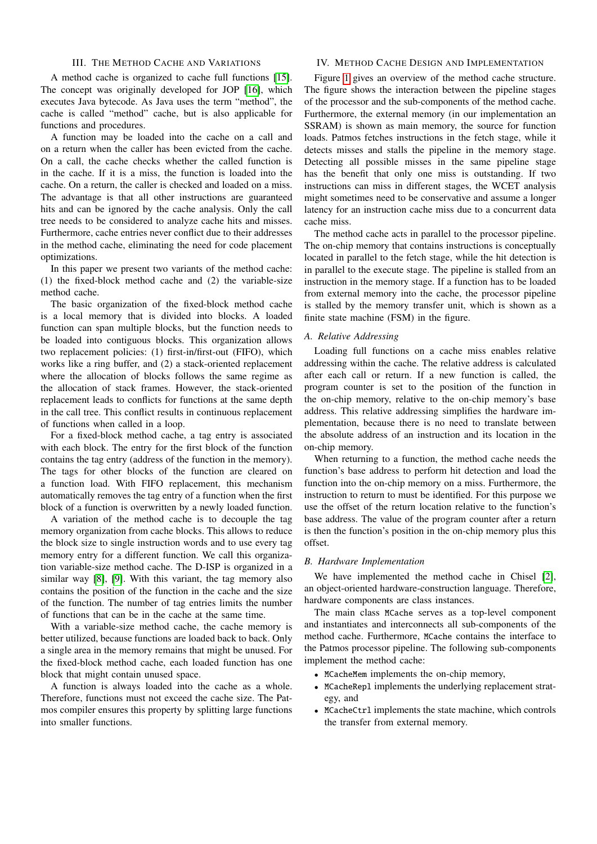# III. THE METHOD CACHE AND VARIATIONS

<span id="page-2-0"></span>A method cache is organized to cache full functions [\[15\]](#page-8-0). The concept was originally developed for JOP [\[16\]](#page-8-1), which executes Java bytecode. As Java uses the term "method", the cache is called "method" cache, but is also applicable for functions and procedures.

A function may be loaded into the cache on a call and on a return when the caller has been evicted from the cache. On a call, the cache checks whether the called function is in the cache. If it is a miss, the function is loaded into the cache. On a return, the caller is checked and loaded on a miss. The advantage is that all other instructions are guaranteed hits and can be ignored by the cache analysis. Only the call tree needs to be considered to analyze cache hits and misses. Furthermore, cache entries never conflict due to their addresses in the method cache, eliminating the need for code placement optimizations.

In this paper we present two variants of the method cache: (1) the fixed-block method cache and (2) the variable-size method cache.

The basic organization of the fixed-block method cache is a local memory that is divided into blocks. A loaded function can span multiple blocks, but the function needs to be loaded into contiguous blocks. This organization allows two replacement policies: (1) first-in/first-out (FIFO), which works like a ring buffer, and (2) a stack-oriented replacement where the allocation of blocks follows the same regime as the allocation of stack frames. However, the stack-oriented replacement leads to conflicts for functions at the same depth in the call tree. This conflict results in continuous replacement of functions when called in a loop.

For a fixed-block method cache, a tag entry is associated with each block. The entry for the first block of the function contains the tag entry (address of the function in the memory). The tags for other blocks of the function are cleared on a function load. With FIFO replacement, this mechanism automatically removes the tag entry of a function when the first block of a function is overwritten by a newly loaded function.

A variation of the method cache is to decouple the tag memory organization from cache blocks. This allows to reduce the block size to single instruction words and to use every tag memory entry for a different function. We call this organization variable-size method cache. The D-ISP is organized in a similar way [\[8\]](#page-7-7), [\[9\]](#page-7-6). With this variant, the tag memory also contains the position of the function in the cache and the size of the function. The number of tag entries limits the number of functions that can be in the cache at the same time.

With a variable-size method cache, the cache memory is better utilized, because functions are loaded back to back. Only a single area in the memory remains that might be unused. For the fixed-block method cache, each loaded function has one block that might contain unused space.

A function is always loaded into the cache as a whole. Therefore, functions must not exceed the cache size. The Patmos compiler ensures this property by splitting large functions into smaller functions.

# <span id="page-2-1"></span>IV. METHOD CACHE DESIGN AND IMPLEMENTATION

Figure [1](#page-3-0) gives an overview of the method cache structure. The figure shows the interaction between the pipeline stages of the processor and the sub-components of the method cache. Furthermore, the external memory (in our implementation an SSRAM) is shown as main memory, the source for function loads. Patmos fetches instructions in the fetch stage, while it detects misses and stalls the pipeline in the memory stage. Detecting all possible misses in the same pipeline stage has the benefit that only one miss is outstanding. If two instructions can miss in different stages, the WCET analysis might sometimes need to be conservative and assume a longer latency for an instruction cache miss due to a concurrent data cache miss.

The method cache acts in parallel to the processor pipeline. The on-chip memory that contains instructions is conceptually located in parallel to the fetch stage, while the hit detection is in parallel to the execute stage. The pipeline is stalled from an instruction in the memory stage. If a function has to be loaded from external memory into the cache, the processor pipeline is stalled by the memory transfer unit, which is shown as a finite state machine (FSM) in the figure.

# *A. Relative Addressing*

Loading full functions on a cache miss enables relative addressing within the cache. The relative address is calculated after each call or return. If a new function is called, the program counter is set to the position of the function in the on-chip memory, relative to the on-chip memory's base address. This relative addressing simplifies the hardware implementation, because there is no need to translate between the absolute address of an instruction and its location in the on-chip memory.

When returning to a function, the method cache needs the function's base address to perform hit detection and load the function into the on-chip memory on a miss. Furthermore, the instruction to return to must be identified. For this purpose we use the offset of the return location relative to the function's base address. The value of the program counter after a return is then the function's position in the on-chip memory plus this offset.

### *B. Hardware Implementation*

We have implemented the method cache in Chisel [\[2\]](#page-7-4), an object-oriented hardware-construction language. Therefore, hardware components are class instances.

The main class MCache serves as a top-level component and instantiates and interconnects all sub-components of the method cache. Furthermore, MCache contains the interface to the Patmos processor pipeline. The following sub-components implement the method cache:

- MCacheMem implements the on-chip memory,
- MCacheRepl implements the underlying replacement strategy, and
- MCacheCtrl implements the state machine, which controls the transfer from external memory.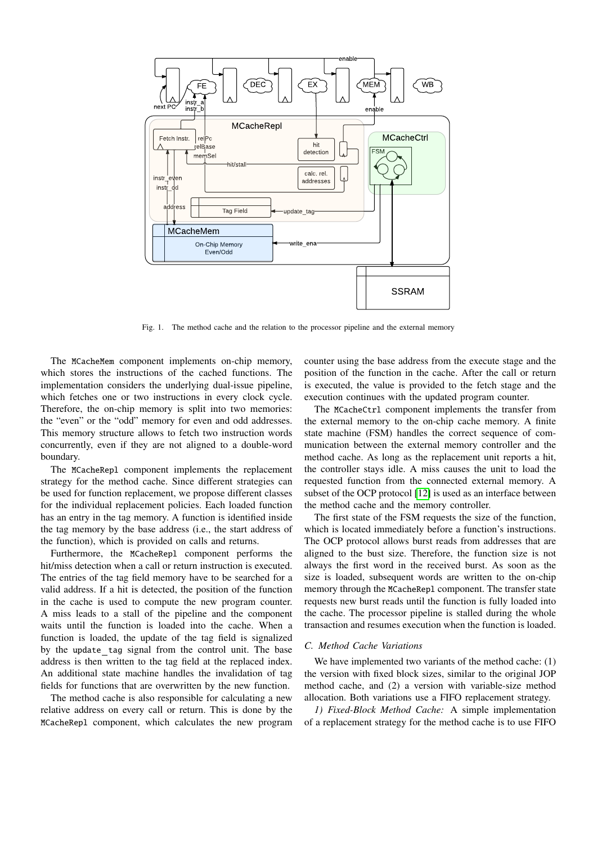

<span id="page-3-0"></span>Fig. 1. The method cache and the relation to the processor pipeline and the external memory

The MCacheMem component implements on-chip memory, which stores the instructions of the cached functions. The implementation considers the underlying dual-issue pipeline, which fetches one or two instructions in every clock cycle. Therefore, the on-chip memory is split into two memories: the "even" or the "odd" memory for even and odd addresses. This memory structure allows to fetch two instruction words concurrently, even if they are not aligned to a double-word boundary.

The MCacheRepl component implements the replacement strategy for the method cache. Since different strategies can be used for function replacement, we propose different classes for the individual replacement policies. Each loaded function has an entry in the tag memory. A function is identified inside the tag memory by the base address (i.e., the start address of the function), which is provided on calls and returns.

Furthermore, the MCacheRepl component performs the hit/miss detection when a call or return instruction is executed. The entries of the tag field memory have to be searched for a valid address. If a hit is detected, the position of the function in the cache is used to compute the new program counter. A miss leads to a stall of the pipeline and the component waits until the function is loaded into the cache. When a function is loaded, the update of the tag field is signalized by the update\_tag signal from the control unit. The base address is then written to the tag field at the replaced index. An additional state machine handles the invalidation of tag fields for functions that are overwritten by the new function.

The method cache is also responsible for calculating a new relative address on every call or return. This is done by the MCacheRepl component, which calculates the new program counter using the base address from the execute stage and the position of the function in the cache. After the call or return is executed, the value is provided to the fetch stage and the execution continues with the updated program counter.

The MCacheCtrl component implements the transfer from the external memory to the on-chip cache memory. A finite state machine (FSM) handles the correct sequence of communication between the external memory controller and the method cache. As long as the replacement unit reports a hit, the controller stays idle. A miss causes the unit to load the requested function from the connected external memory. A subset of the OCP protocol [\[12\]](#page-8-10) is used as an interface between the method cache and the memory controller.

The first state of the FSM requests the size of the function, which is located immediately before a function's instructions. The OCP protocol allows burst reads from addresses that are aligned to the bust size. Therefore, the function size is not always the first word in the received burst. As soon as the size is loaded, subsequent words are written to the on-chip memory through the MCacheRepl component. The transfer state requests new burst reads until the function is fully loaded into the cache. The processor pipeline is stalled during the whole transaction and resumes execution when the function is loaded.

### *C. Method Cache Variations*

We have implemented two variants of the method cache: (1) the version with fixed block sizes, similar to the original JOP method cache, and (2) a version with variable-size method allocation. Both variations use a FIFO replacement strategy.

*1) Fixed-Block Method Cache:* A simple implementation of a replacement strategy for the method cache is to use FIFO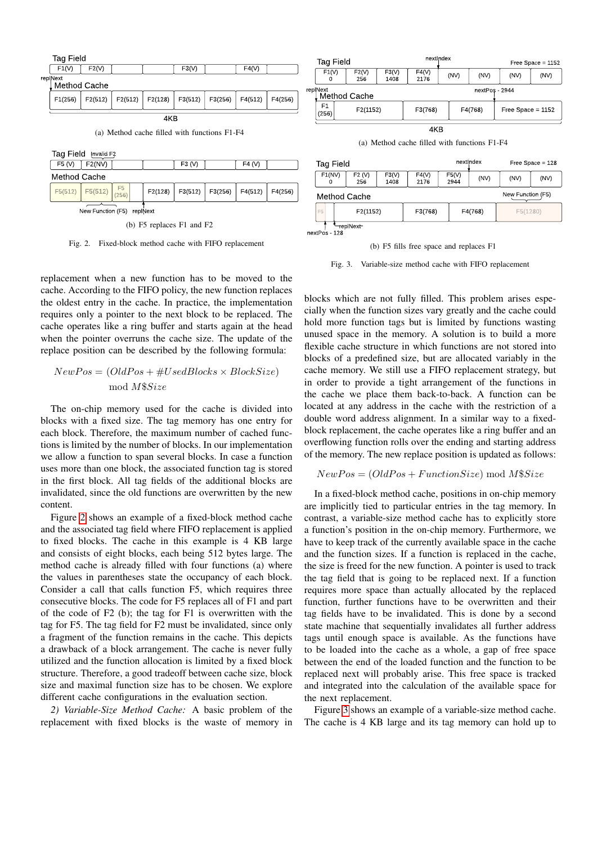

<span id="page-4-0"></span>Fig. 2. Fixed-block method cache with FIFO replacement

replacement when a new function has to be moved to the cache. According to the FIFO policy, the new function replaces the oldest entry in the cache. In practice, the implementation requires only a pointer to the next block to be replaced. The cache operates like a ring buffer and starts again at the head when the pointer overruns the cache size. The update of the replace position can be described by the following formula:

# $NewPos = (OldPos + \# UsedBlocks \times BlockSize)$ mod M\$Size

The on-chip memory used for the cache is divided into blocks with a fixed size. The tag memory has one entry for each block. Therefore, the maximum number of cached functions is limited by the number of blocks. In our implementation we allow a function to span several blocks. In case a function uses more than one block, the associated function tag is stored in the first block. All tag fields of the additional blocks are invalidated, since the old functions are overwritten by the new content.

Figure [2](#page-4-0) shows an example of a fixed-block method cache and the associated tag field where FIFO replacement is applied to fixed blocks. The cache in this example is 4 KB large and consists of eight blocks, each being 512 bytes large. The method cache is already filled with four functions (a) where the values in parentheses state the occupancy of each block. Consider a call that calls function F5, which requires three consecutive blocks. The code for F5 replaces all of F1 and part of the code of F2 (b); the tag for F1 is overwritten with the tag for F5. The tag field for F2 must be invalidated, since only a fragment of the function remains in the cache. This depicts a drawback of a block arrangement. The cache is never fully utilized and the function allocation is limited by a fixed block structure. Therefore, a good tradeoff between cache size, block size and maximal function size has to be chosen. We explore different cache configurations in the evaluation section.

*2) Variable-Size Method Cache:* A basic problem of the replacement with fixed blocks is the waste of memory in





<span id="page-4-1"></span>(b) F5 fills free space and replaces F1

Fig. 3. Variable-size method cache with FIFO replacement

blocks which are not fully filled. This problem arises especially when the function sizes vary greatly and the cache could hold more function tags but is limited by functions wasting unused space in the memory. A solution is to build a more flexible cache structure in which functions are not stored into blocks of a predefined size, but are allocated variably in the cache memory. We still use a FIFO replacement strategy, but in order to provide a tight arrangement of the functions in the cache we place them back-to-back. A function can be located at any address in the cache with the restriction of a double word address alignment. In a similar way to a fixedblock replacement, the cache operates like a ring buffer and an overflowing function rolls over the ending and starting address of the memory. The new replace position is updated as follows:

### $NewPos = (OldPos + FunctionSize) \text{ mod } M\$Size$

In a fixed-block method cache, positions in on-chip memory are implicitly tied to particular entries in the tag memory. In contrast, a variable-size method cache has to explicitly store a function's position in the on-chip memory. Furthermore, we have to keep track of the currently available space in the cache and the function sizes. If a function is replaced in the cache, the size is freed for the new function. A pointer is used to track the tag field that is going to be replaced next. If a function requires more space than actually allocated by the replaced function, further functions have to be overwritten and their tag fields have to be invalidated. This is done by a second state machine that sequentially invalidates all further address tags until enough space is available. As the functions have to be loaded into the cache as a whole, a gap of free space between the end of the loaded function and the function to be replaced next will probably arise. This free space is tracked and integrated into the calculation of the available space for the next replacement.

Figure [3](#page-4-1) shows an example of a variable-size method cache. The cache is 4 KB large and its tag memory can hold up to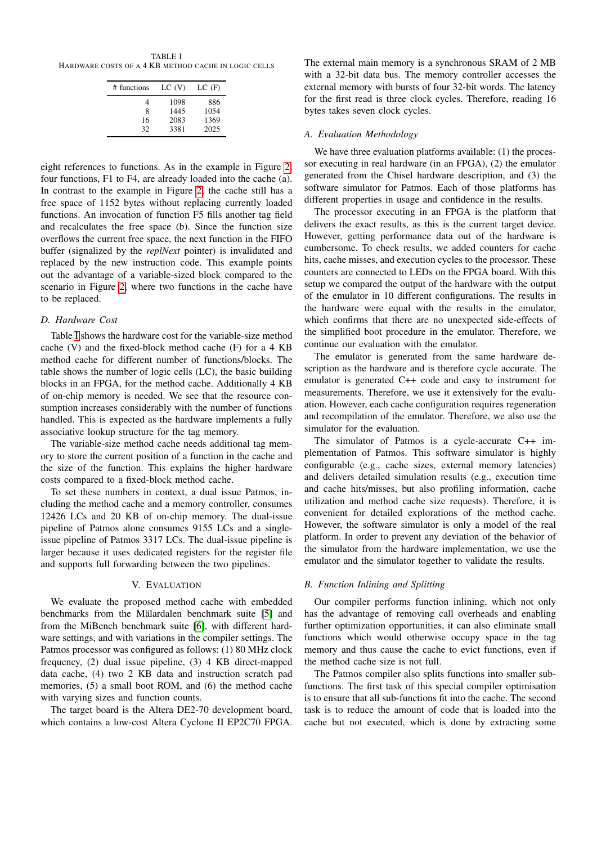<span id="page-5-1"></span>TABLE I HARDWARE COSTS OF A 4 KB METHOD CACHE IN LOGIC CELLS

| # functions | $LC$ $(V)$ | $LC$ (F) |
|-------------|------------|----------|
| 4           | 1098       | 886      |
| 8           | 1445       | 1054     |
| 16          | 2083       | 1369     |
| 32          | 3381       | 2025     |

eight references to functions. As in the example in Figure [2,](#page-4-0) four functions, F1 to F4, are already loaded into the cache (a). In contrast to the example in Figure [2,](#page-4-0) the cache still has a free space of 1152 bytes without replacing currently loaded functions. An invocation of function F5 fills another tag field and recalculates the free space (b). Since the function size overflows the current free space, the next function in the FIFO buffer (signalized by the *replNext* pointer) is invalidated and replaced by the new instruction code. This example points out the advantage of a variable-sized block compared to the scenario in Figure [2,](#page-4-0) where two functions in the cache have to be replaced.

### *D. Hardware Cost*

Table [I](#page-5-1) shows the hardware cost for the variable-size method cache (V) and the fixed-block method cache (F) for a 4 KB method cache for different number of functions/blocks. The table shows the number of logic cells (LC), the basic building blocks in an FPGA, for the method cache. Additionally 4 KB of on-chip memory is needed. We see that the resource consumption increases considerably with the number of functions handled. This is expected as the hardware implements a fully associative lookup structure for the tag memory.

The variable-size method cache needs additional tag memory to store the current position of a function in the cache and the size of the function. This explains the higher hardware costs compared to a fixed-block method cache.

To set these numbers in context, a dual issue Patmos, including the method cache and a memory controller, consumes 12426 LCs and 20 KB of on-chip memory. The dual-issue pipeline of Patmos alone consumes 9155 LCs and a singleissue pipeline of Patmos 3317 LCs. The dual-issue pipeline is larger because it uses dedicated registers for the register file and supports full forwarding between the two pipelines.

### V. EVALUATION

<span id="page-5-0"></span>We evaluate the proposed method cache with embedded benchmarks from the Mälardalen benchmark suite [\[5\]](#page-7-9) and from the MiBench benchmark suite [\[6\]](#page-7-10), with different hardware settings, and with variations in the compiler settings. The Patmos processor was configured as follows: (1) 80 MHz clock frequency, (2) dual issue pipeline, (3) 4 KB direct-mapped data cache, (4) two 2 KB data and instruction scratch pad memories, (5) a small boot ROM, and (6) the method cache with varying sizes and function counts.

The target board is the Altera DE2-70 development board, which contains a low-cost Altera Cyclone II EP2C70 FPGA.

The external main memory is a synchronous SRAM of 2 MB with a 32-bit data bus. The memory controller accesses the external memory with bursts of four 32-bit words. The latency for the first read is three clock cycles. Therefore, reading 16 bytes takes seven clock cycles.

### *A. Evaluation Methodology*

We have three evaluation platforms available: (1) the processor executing in real hardware (in an FPGA), (2) the emulator generated from the Chisel hardware description, and (3) the software simulator for Patmos. Each of those platforms has different properties in usage and confidence in the results.

The processor executing in an FPGA is the platform that delivers the exact results, as this is the current target device. However, getting performance data out of the hardware is cumbersome. To check results, we added counters for cache hits, cache misses, and execution cycles to the processor. These counters are connected to LEDs on the FPGA board. With this setup we compared the output of the hardware with the output of the emulator in 10 different configurations. The results in the hardware were equal with the results in the emulator, which confirms that there are no unexpected side-effects of the simplified boot procedure in the emulator. Therefore, we continue our evaluation with the emulator.

The emulator is generated from the same hardware description as the hardware and is therefore cycle accurate. The emulator is generated C++ code and easy to instrument for measurements. Therefore, we use it extensively for the evaluation. However, each cache configuration requires regeneration and recompilation of the emulator. Therefore, we also use the simulator for the evaluation.

The simulator of Patmos is a cycle-accurate C++ implementation of Patmos. This software simulator is highly configurable (e.g., cache sizes, external memory latencies) and delivers detailed simulation results (e.g., execution time and cache hits/misses, but also profiling information, cache utilization and method cache size requests). Therefore, it is convenient for detailed explorations of the method cache. However, the software simulator is only a model of the real platform. In order to prevent any deviation of the behavior of the simulator from the hardware implementation, we use the emulator and the simulator together to validate the results.

# *B. Function Inlining and Splitting*

Our compiler performs function inlining, which not only has the advantage of removing call overheads and enabling further optimization opportunities, it can also eliminate small functions which would otherwise occupy space in the tag memory and thus cause the cache to evict functions, even if the method cache size is not full.

The Patmos compiler also splits functions into smaller subfunctions. The first task of this special compiler optimisation is to ensure that all sub-functions fit into the cache. The second task is to reduce the amount of code that is loaded into the cache but not executed, which is done by extracting some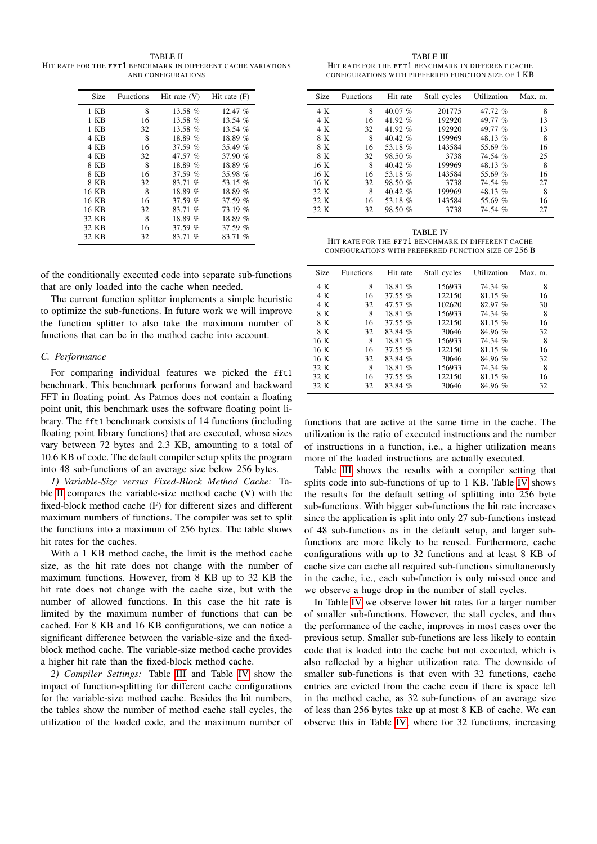<span id="page-6-0"></span>TABLE II HIT RATE FOR THE fft1 BENCHMARK IN DIFFERENT CACHE VARIATIONS AND CONFIGURATIONS

| Size  | <b>Functions</b> | Hit rate $(V)$ | Hit rate $(F)$ |
|-------|------------------|----------------|----------------|
| 1 KB  | 8                | 13.58 %        | 12.47%         |
| 1 KB  | 16               | $13.58\%$      | 13.54%         |
| 1 KB  | 32               | $13.58\%$      | 13.54%         |
| 4 KB  | 8                | 18.89 %        | 18.89 %        |
| 4 KB  | 16               | 37.59 $%$      | 35.49 %        |
| 4 KB  | 32               | 47.57%         | 37.90 %        |
| 8 KB  | 8                | 18.89 %        | 18.89 %        |
| 8 KB  | 16               | 37.59 $%$      | 35.98 %        |
| 8 KB  | 32               | 83.71 %        | 53.15 %        |
| 16 KB | 8                | 18.89 %        | 18.89 %        |
| 16 KB | 16               | 37.59 $%$      | 37.59 %        |
| 16 KB | 32               | 83.71 %        | 73.19 %        |
| 32 KB | 8                | 18.89 %        | 18.89 %        |
| 32 KB | 16               | 37.59%         | 37.59 %        |
| 32 KB | 32               | 83.71 %        | 83.71 %        |

of the conditionally executed code into separate sub-functions that are only loaded into the cache when needed.

The current function splitter implements a simple heuristic to optimize the sub-functions. In future work we will improve the function splitter to also take the maximum number of functions that can be in the method cache into account.

# *C. Performance*

For comparing individual features we picked the fft1 benchmark. This benchmark performs forward and backward FFT in floating point. As Patmos does not contain a floating point unit, this benchmark uses the software floating point library. The fft1 benchmark consists of 14 functions (including floating point library functions) that are executed, whose sizes vary between 72 bytes and 2.3 KB, amounting to a total of 10.6 KB of code. The default compiler setup splits the program into 48 sub-functions of an average size below 256 bytes.

*1) Variable-Size versus Fixed-Block Method Cache:* Table [II](#page-6-0) compares the variable-size method cache (V) with the fixed-block method cache (F) for different sizes and different maximum numbers of functions. The compiler was set to split the functions into a maximum of 256 bytes. The table shows hit rates for the caches.

With a 1 KB method cache, the limit is the method cache size, as the hit rate does not change with the number of maximum functions. However, from 8 KB up to 32 KB the hit rate does not change with the cache size, but with the number of allowed functions. In this case the hit rate is limited by the maximum number of functions that can be cached. For 8 KB and 16 KB configurations, we can notice a significant difference between the variable-size and the fixedblock method cache. The variable-size method cache provides a higher hit rate than the fixed-block method cache.

*2) Compiler Settings:* Table [III](#page-6-1) and Table [IV](#page-6-2) show the impact of function-splitting for different cache configurations for the variable-size method cache. Besides the hit numbers, the tables show the number of method cache stall cycles, the utilization of the loaded code, and the maximum number of

<span id="page-6-1"></span>TABLE III HIT RATE FOR THE **FFT<sup>1</sup> BENCHMARK IN DIFFERENT CACHE** CONFIGURATIONS WITH PREFERRED FUNCTION SIZE OF 1 KB

| Size | <b>Functions</b> | Hit rate | Stall cycles | Utilization | Max. m. |
|------|------------------|----------|--------------|-------------|---------|
| 4 K  | 8                | 40.07%   | 201775       | 47.72 %     | 8       |
| 4 K  | 16               | 41.92 %  | 192920       | 49.77 %     | 13      |
| 4 K  | 32               | 41.92 %  | 192920       | 49.77 %     | 13      |
| 8 K  | 8                | 40.42%   | 199969       | 48.13 %     | 8       |
| 8 K  | 16               | 53.18%   | 143584       | 55.69 %     | 16      |
| 8 K  | 32               | 98.50 %  | 3738         | 74.54 %     | 25      |
| 16 K | 8                | 40.42%   | 199969       | 48.13 %     | 8       |
| 16 K | 16               | 53.18%   | 143584       | 55.69 %     | 16      |
| 16 K | 32               | 98.50 %  | 3738         | 74.54 %     | 27      |
| 32 K | 8                | 40.42%   | 199969       | 48.13 %     | 8       |
| 32 K | 16               | 53.18 %  | 143584       | 55.69 %     | 16      |
| 32 K | 32               | 98.50 %  | 3738         | 74.54 %     | 27      |

<span id="page-6-2"></span>TABLE IV HIT RATE FOR THE fft1 BENCHMARK IN DIFFERENT CACHE CONFIGURATIONS WITH PREFERRED FUNCTION SIZE OF 256 B

| <b>Size</b> | <b>Functions</b> | Hit rate  | Stall cycles | Utilization | Max. m. |
|-------------|------------------|-----------|--------------|-------------|---------|
| 4 K         | 8                | 18.81 %   | 156933       | 74.34 %     | 8       |
| 4 K         | 16               | $37.55\%$ | 122150       | 81.15%      | 16      |
| 4 K         | 32               | 47.57%    | 102620       | 82.97%      | 30      |
| 8 K         | 8                | 18.81 %   | 156933       | 74.34 %     | 8       |
| 8 K         | 16               | $37.55\%$ | 122150       | 81.15%      | 16      |
| 8 K         | 32               | 83.84 %   | 30646        | 84.96%      | 32      |
| 16 K        | 8                | 18.81 %   | 156933       | 74.34 %     | 8       |
| 16 K        | 16               | $37.55\%$ | 122150       | $81.15\%$   | 16      |
| 16 K        | 32               | 83.84 %   | 30646        | 84.96%      | 32      |
| 32 K        | 8                | 18.81 %   | 156933       | 74.34 %     | 8       |
| 32 K        | 16               | 37.55 %   | 122150       | $81.15\%$   | 16      |
| 32 K        | 32               | 83.84 %   | 30646        | 84.96 %     | 32      |

functions that are active at the same time in the cache. The utilization is the ratio of executed instructions and the number of instructions in a function, i.e., a higher utilization means more of the loaded instructions are actually executed.

Table [III](#page-6-1) shows the results with a compiler setting that splits code into sub-functions of up to 1 KB. Table [IV](#page-6-2) shows the results for the default setting of splitting into 256 byte sub-functions. With bigger sub-functions the hit rate increases since the application is split into only 27 sub-functions instead of 48 sub-functions as in the default setup, and larger subfunctions are more likely to be reused. Furthermore, cache configurations with up to 32 functions and at least 8 KB of cache size can cache all required sub-functions simultaneously in the cache, i.e., each sub-function is only missed once and we observe a huge drop in the number of stall cycles.

In Table [IV](#page-6-2) we observe lower hit rates for a larger number of smaller sub-functions. However, the stall cycles, and thus the performance of the cache, improves in most cases over the previous setup. Smaller sub-functions are less likely to contain code that is loaded into the cache but not executed, which is also reflected by a higher utilization rate. The downside of smaller sub-functions is that even with 32 functions, cache entries are evicted from the cache even if there is space left in the method cache, as 32 sub-functions of an average size of less than 256 bytes take up at most 8 KB of cache. We can observe this in Table [IV,](#page-6-2) where for 32 functions, increasing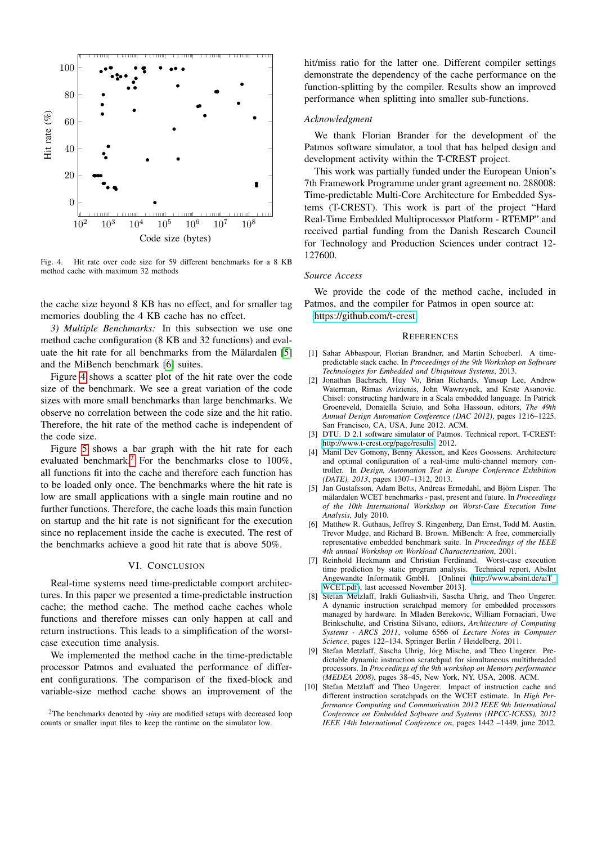

<span id="page-7-11"></span>Fig. 4. Hit rate over code size for 59 different benchmarks for a 8 KB method cache with maximum 32 methods

the cache size beyond 8 KB has no effect, and for smaller tag memories doubling the 4 KB cache has no effect.

*3) Multiple Benchmarks:* In this subsection we use one method cache configuration (8 KB and 32 functions) and eval-uate the hit rate for all benchmarks from the Mälardalen [\[5\]](#page-7-9) and the MiBench benchmark [\[6\]](#page-7-10) suites.

Figure [4](#page-7-11) shows a scatter plot of the hit rate over the code size of the benchmark. We see a great variation of the code sizes with more small benchmarks than large benchmarks. We observe no correlation between the code size and the hit ratio. Therefore, the hit rate of the method cache is independent of the code size.

Figure [5](#page-8-11) shows a bar graph with the hit rate for each evaluated benchmark.<sup>[2](#page-7-12)</sup> For the benchmarks close to 100%, all functions fit into the cache and therefore each function has to be loaded only once. The benchmarks where the hit rate is low are small applications with a single main routine and no further functions. Therefore, the cache loads this main function on startup and the hit rate is not significant for the execution since no replacement inside the cache is executed. The rest of the benchmarks achieve a good hit rate that is above 50%.

# VI. CONCLUSION

<span id="page-7-5"></span>Real-time systems need time-predictable comport architectures. In this paper we presented a time-predictable instruction cache; the method cache. The method cache caches whole functions and therefore misses can only happen at call and return instructions. This leads to a simplification of the worstcase execution time analysis.

We implemented the method cache in the time-predictable processor Patmos and evaluated the performance of different configurations. The comparison of the fixed-block and variable-size method cache shows an improvement of the

<span id="page-7-12"></span><sup>2</sup>The benchmarks denoted by *-tiny* are modified setups with decreased loop counts or smaller input files to keep the runtime on the simulator low.

hit/miss ratio for the latter one. Different compiler settings demonstrate the dependency of the cache performance on the function-splitting by the compiler. Results show an improved performance when splitting into smaller sub-functions.

### *Acknowledgment*

We thank Florian Brander for the development of the Patmos software simulator, a tool that has helped design and development activity within the T-CREST project.

This work was partially funded under the European Union's 7th Framework Programme under grant agreement no. 288008: Time-predictable Multi-Core Architecture for Embedded Systems (T-CREST). This work is part of the project "Hard Real-Time Embedded Multiprocessor Platform - RTEMP" and received partial funding from the Danish Research Council for Technology and Production Sciences under contract 12- 127600.

### *Source Access*

We provide the code of the method cache, included in Patmos, and the compiler for Patmos in open source at:

<https://github.com/t-crest>

#### **REFERENCES**

- <span id="page-7-2"></span>[1] Sahar Abbaspour, Florian Brandner, and Martin Schoeberl. A timepredictable stack cache. In *Proceedings of the 9th Workshop on Software Technologies for Embedded and Ubiquitous Systems*, 2013.
- <span id="page-7-4"></span>[2] Jonathan Bachrach, Huy Vo, Brian Richards, Yunsup Lee, Andrew Waterman, Rimas Avizienis, John Wawrzynek, and Krste Asanovic. Chisel: constructing hardware in a Scala embedded language. In Patrick Groeneveld, Donatella Sciuto, and Soha Hassoun, editors, *The 49th Annual Design Automation Conference (DAC 2012)*, pages 1216–1225, San Francisco, CA, USA, June 2012. ACM.
- <span id="page-7-3"></span>[3] DTU. D 2.1 software simulator of Patmos. Technical report, T-CREST: [http://www.t-crest.org/page/results,](http://www.t-crest.org/page/results) 2012.
- <span id="page-7-0"></span>[4] Manil Dev Gomony, Benny Akesson, and Kees Goossens. Architecture and optimal configuration of a real-time multi-channel memory controller. In *Design, Automation Test in Europe Conference Exhibition (DATE), 2013*, pages 1307–1312, 2013.
- <span id="page-7-9"></span>[5] Jan Gustafsson, Adam Betts, Andreas Ermedahl, and Björn Lisper. The mälardalen WCET benchmarks - past, present and future. In Proceedings *of the 10th International Workshop on Worst-Case Execution Time Analysis*, July 2010.
- <span id="page-7-10"></span>[6] Matthew R. Guthaus, Jeffrey S. Ringenberg, Dan Ernst, Todd M. Austin, Trevor Mudge, and Richard B. Brown. MiBench: A free, commercially representative embedded benchmark suite. In *Proceedings of the IEEE 4th annual Workshop on Workload Characterization*, 2001.
- <span id="page-7-1"></span>[7] Reinhold Heckmann and Christian Ferdinand. Worst-case execution time prediction by static program analysis. Technical report, AbsInt Angewandte Informatik GmbH. [Onlinei [\(http://www.absint.de/aiT](http://www.absint.de/aiT_WCET.pdf) [WCET.pdf\)](http://www.absint.de/aiT_WCET.pdf), last accessed November 2013].
- <span id="page-7-7"></span>[8] Stefan Metzlaff, Irakli Guliashvili, Sascha Uhrig, and Theo Ungerer. A dynamic instruction scratchpad memory for embedded processors managed by hardware. In Mladen Berekovic, William Fornaciari, Uwe Brinkschulte, and Cristina Silvano, editors, *Architecture of Computing Systems - ARCS 2011*, volume 6566 of *Lecture Notes in Computer Science*, pages 122–134. Springer Berlin / Heidelberg, 2011.
- <span id="page-7-6"></span>[9] Stefan Metzlaff, Sascha Uhrig, Jörg Mische, and Theo Ungerer. Predictable dynamic instruction scratchpad for simultaneous multithreaded processors. In *Proceedings of the 9th workshop on Memory performance (MEDEA 2008)*, pages 38–45, New York, NY, USA, 2008. ACM.
- <span id="page-7-8"></span>[10] Stefan Metzlaff and Theo Ungerer. Impact of instruction cache and different instruction scratchpads on the WCET estimate. In *High Performance Computing and Communication 2012 IEEE 9th International Conference on Embedded Software and Systems (HPCC-ICESS), 2012 IEEE 14th International Conference on*, pages 1442 –1449, june 2012.